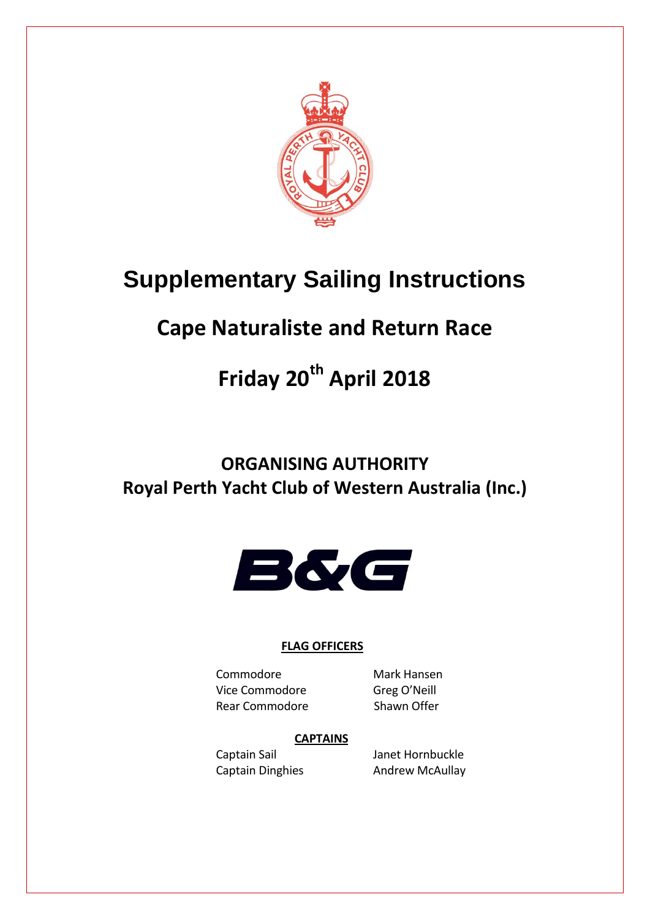

# **Supplementary Sailing Instructions**

# **Cape Naturaliste and Return Race**

# **Friday 20th April 2018**

## **ORGANISING AUTHORITY Royal Perth Yacht Club of Western Australia (Inc.)**



## **FLAG OFFICERS**

Commodore Mark Hansen Vice Commodore Greg O'Neill Rear Commodore Shawn Offer

## **CAPTAINS**

Captain Sail Janet Hornbuckle Captain Dinghies **Andrew McAullay**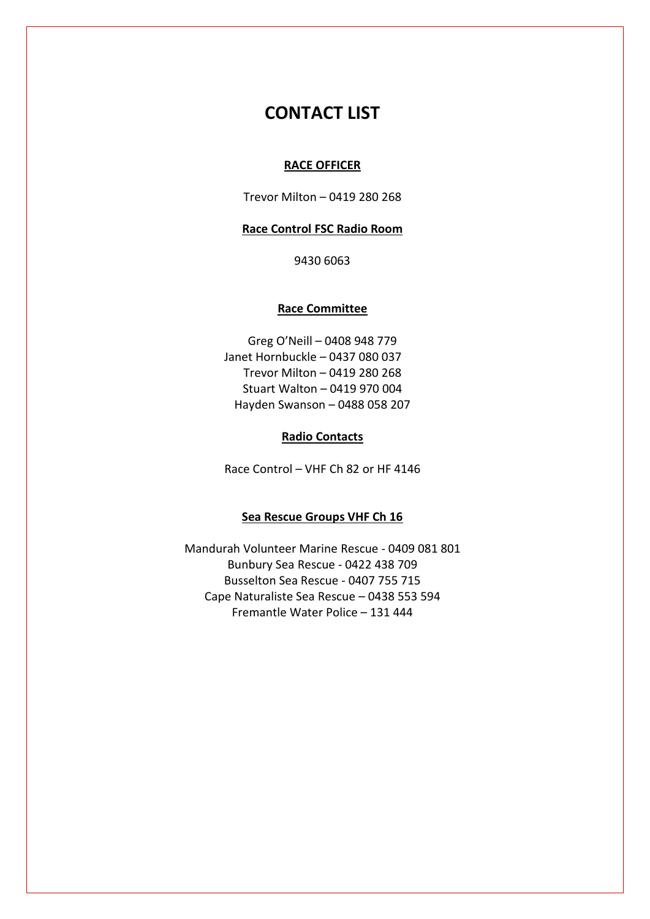## **CONTACT LIST**

#### **RACE OFFICER**

Trevor Milton – 0419 280 268

#### **Race Control FSC Radio Room**

9430 6063

#### **Race Committee**

Greg O'Neill – 0408 948 779 Janet Hornbuckle – 0437 080 037 Trevor Milton – 0419 280 268 Stuart Walton – 0419 970 004 Hayden Swanson – 0488 058 207

#### **Radio Contacts**

Race Control – VHF Ch 82 or HF 4146

#### **Sea Rescue Groups VHF Ch 16**

Mandurah Volunteer Marine Rescue - 0409 081 801 Bunbury Sea Rescue - 0422 438 709 Busselton Sea Rescue - 0407 755 715 Cape Naturaliste Sea Rescue – 0438 553 594 Fremantle Water Police – 131 444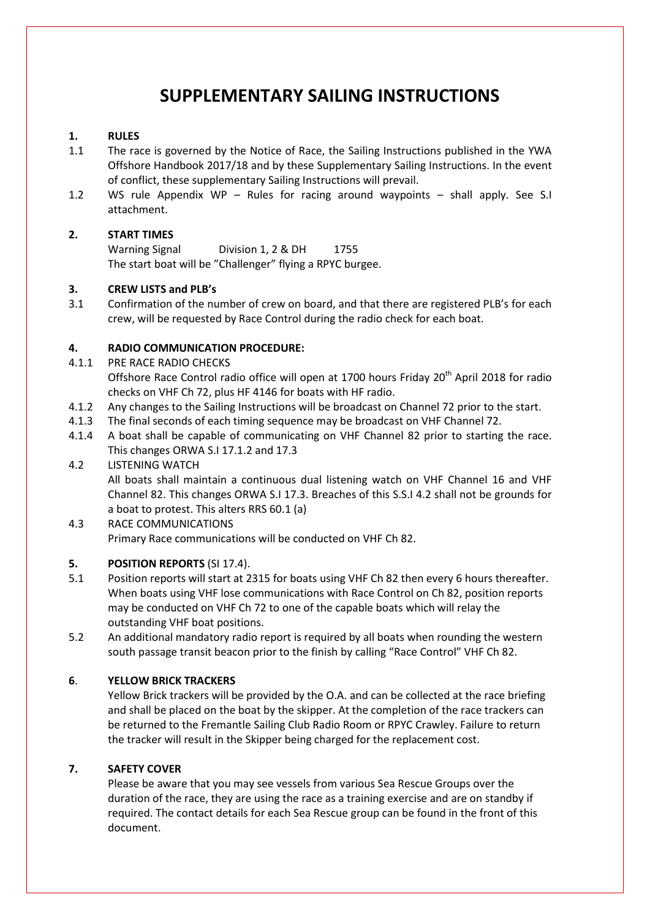## **SUPPLEMENTARY SAILING INSTRUCTIONS**

#### **1. RULES**

- 1.1 The race is governed by the Notice of Race, the Sailing Instructions published in the YWA Offshore Handbook 2017/18 and by these Supplementary Sailing Instructions. In the event of conflict, these supplementary Sailing Instructions will prevail.
- 1.2 WS rule Appendix WP Rules for racing around waypoints shall apply. See S.I attachment.

#### **2. START TIMES**

Warning Signal Division 1, 2 & DH 1755 The start boat will be "Challenger" flying a RPYC burgee.

#### **3. CREW LISTS and PLB's**

3.1 Confirmation of the number of crew on board, and that there are registered PLB's for each crew, will be requested by Race Control during the radio check for each boat.

#### **4. RADIO COMMUNICATION PROCEDURE:**

4.1.1 PRE RACE RADIO CHECKS

Offshore Race Control radio office will open at 1700 hours Friday 20<sup>th</sup> April 2018 for radio checks on VHF Ch 72, plus HF 4146 for boats with HF radio.

- 4.1.2 Any changes to the Sailing Instructions will be broadcast on Channel 72 prior to the start.
- 4.1.3 The final seconds of each timing sequence may be broadcast on VHF Channel 72.
- 4.1.4 A boat shall be capable of communicating on VHF Channel 82 prior to starting the race. This changes ORWA S.I 17.1.2 and 17.3

#### 4.2 LISTENING WATCH

All boats shall maintain a continuous dual listening watch on VHF Channel 16 and VHF Channel 82. This changes ORWA S.I 17.3. Breaches of this S.S.I 4.2 shall not be grounds for a boat to protest. This alters RRS 60.1 (a)

#### 4.3 RACE COMMUNICATIONS Primary Race communications will be conducted on VHF Ch 82.

#### **5. POSITION REPORTS** (SI 17.4).

- 5.1 Position reports will start at 2315 for boats using VHF Ch 82 then every 6 hours thereafter. When boats using VHF lose communications with Race Control on Ch 82, position reports may be conducted on VHF Ch 72 to one of the capable boats which will relay the outstanding VHF boat positions.
- 5.2 An additional mandatory radio report is required by all boats when rounding the western south passage transit beacon prior to the finish by calling "Race Control" VHF Ch 82.

#### **6**. **YELLOW BRICK TRACKERS**

Yellow Brick trackers will be provided by the O.A. and can be collected at the race briefing and shall be placed on the boat by the skipper. At the completion of the race trackers can be returned to the Fremantle Sailing Club Radio Room or RPYC Crawley. Failure to return the tracker will result in the Skipper being charged for the replacement cost.

#### **7. SAFETY COVER**

Please be aware that you may see vessels from various Sea Rescue Groups over the duration of the race, they are using the race as a training exercise and are on standby if required. The contact details for each Sea Rescue group can be found in the front of this document.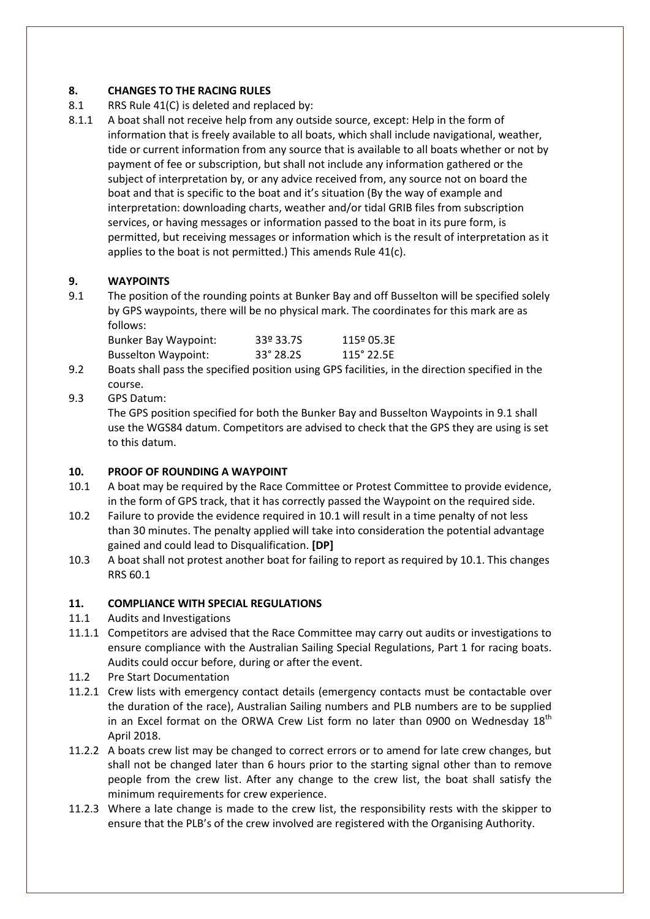#### **8. CHANGES TO THE RACING RULES**

- 8.1 RRS Rule 41(C) is deleted and replaced by:
- 8.1.1 A boat shall not receive help from any outside source, except: Help in the form of information that is freely available to all boats, which shall include navigational, weather, tide or current information from any source that is available to all boats whether or not by payment of fee or subscription, but shall not include any information gathered or the subject of interpretation by, or any advice received from, any source not on board the boat and that is specific to the boat and it's situation (By the way of example and interpretation: downloading charts, weather and/or tidal GRIB files from subscription services, or having messages or information passed to the boat in its pure form, is permitted, but receiving messages or information which is the result of interpretation as it applies to the boat is not permitted.) This amends Rule 41(c).

#### **9. WAYPOINTS**

9.1 The position of the rounding points at Bunker Bay and off Busselton will be specified solely by GPS waypoints, there will be no physical mark. The coordinates for this mark are as follows:

| <b>Bunker Bay Waypoint:</b> | 33º 33.7S | 115º 05.3E |
|-----------------------------|-----------|------------|
| <b>Busselton Waypoint:</b>  | 33° 28.25 | 115° 22.5E |

- 9.2 Boats shall pass the specified position using GPS facilities, in the direction specified in the course.
- 9.3 GPS Datum:

The GPS position specified for both the Bunker Bay and Busselton Waypoints in 9.1 shall use the WGS84 datum. Competitors are advised to check that the GPS they are using is set to this datum.

#### **10. PROOF OF ROUNDING A WAYPOINT**

- 10.1 A boat may be required by the Race Committee or Protest Committee to provide evidence, in the form of GPS track, that it has correctly passed the Waypoint on the required side.
- 10.2 Failure to provide the evidence required in 10.1 will result in a time penalty of not less than 30 minutes. The penalty applied will take into consideration the potential advantage gained and could lead to Disqualification. **[DP]**
- 10.3 A boat shall not protest another boat for failing to report as required by 10.1. This changes RRS 60.1

#### **11. COMPLIANCE WITH SPECIAL REGULATIONS**

- 11.1 Audits and Investigations
- 11.1.1 Competitors are advised that the Race Committee may carry out audits or investigations to ensure compliance with the Australian Sailing Special Regulations, Part 1 for racing boats. Audits could occur before, during or after the event.
- 11.2 Pre Start Documentation
- 11.2.1 Crew lists with emergency contact details (emergency contacts must be contactable over the duration of the race), Australian Sailing numbers and PLB numbers are to be supplied in an Excel format on the ORWA Crew List form no later than 0900 on Wednesday  $18<sup>th</sup>$ April 2018.
- 11.2.2 A boats crew list may be changed to correct errors or to amend for late crew changes, but shall not be changed later than 6 hours prior to the starting signal other than to remove people from the crew list. After any change to the crew list, the boat shall satisfy the minimum requirements for crew experience.
- 11.2.3 Where a late change is made to the crew list, the responsibility rests with the skipper to ensure that the PLB's of the crew involved are registered with the Organising Authority.